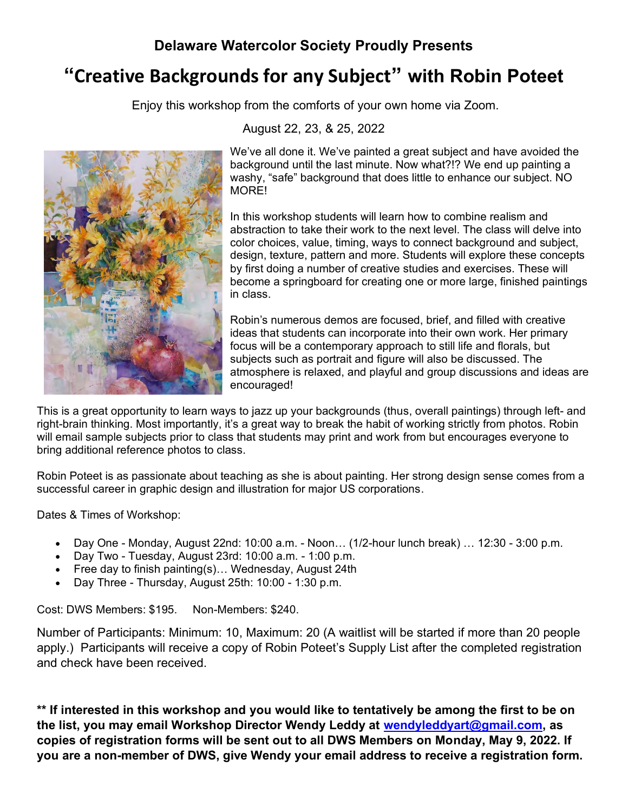### **Delaware Watercolor Society Proudly Presents**

## **"Creative Backgrounds for any Subject" with Robin Poteet**

Enjoy this workshop from the comforts of your own home via Zoom.



#### August 22, 23, & 25, 2022

We've all done it. We've painted a great subject and have avoided the background until the last minute. Now what?!? We end up painting a washy, "safe" background that does little to enhance our subject. NO MORE!

In this workshop students will learn how to combine realism and abstraction to take their work to the next level. The class will delve into color choices, value, timing, ways to connect background and subject, design, texture, pattern and more. Students will explore these concepts by first doing a number of creative studies and exercises. These will become a springboard for creating one or more large, finished paintings in class.

Robin's numerous demos are focused, brief, and filled with creative ideas that students can incorporate into their own work. Her primary focus will be a contemporary approach to still life and florals, but subjects such as portrait and figure will also be discussed. The atmosphere is relaxed, and playful and group discussions and ideas are encouraged!

This is a great opportunity to learn ways to jazz up your backgrounds (thus, overall paintings) through left- and right-brain thinking. Most importantly, it's a great way to break the habit of working strictly from photos. Robin will email sample subjects prior to class that students may print and work from but encourages everyone to bring additional reference photos to class.

Robin Poteet is as passionate about teaching as she is about painting. Her strong design sense comes from a successful career in graphic design and illustration for major US corporations.

Dates & Times of Workshop:

- Day One Monday, August 22nd: 10:00 a.m. Noon… (1/2-hour lunch break) … 12:30 3:00 p.m.
- Day Two Tuesday, August 23rd: 10:00 a.m. 1:00 p.m.
- Free day to finish painting(s)… Wednesday, August 24th
- Day Three Thursday, August 25th: 10:00 1:30 p.m.

Cost: DWS Members: \$195. Non-Members: \$240.

Number of Participants: Minimum: 10, Maximum: 20 (A waitlist will be started if more than 20 people apply.) Participants will receive a copy of Robin Poteet's Supply List after the completed registration and check have been received.

**\*\* If interested in this workshop and you would like to tentatively be among the first to be on the list, you may email Workshop Director Wendy Leddy at [wendyleddyart@gmail.com,](mailto:wendyleddyart@gmail.com) as copies of registration forms will be sent out to all DWS Members on Monday, May 9, 2022. If you are a non-member of DWS, give Wendy your email address to receive a registration form.**